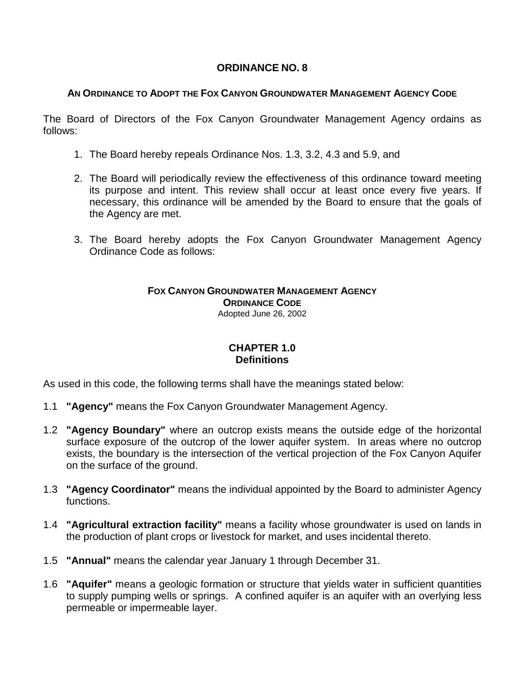## **ORDINANCE NO. 8**

### **AN ORDINANCE TO ADOPT THE FOX CANYON GROUNDWATER MANAGEMENT AGENCY CODE**

The Board of Directors of the Fox Canyon Groundwater Management Agency ordains as follows:

- 1. The Board hereby repeals Ordinance Nos. 1.3, 3.2, 4.3 and 5.9, and
- 2. The Board will periodically review the effectiveness of this ordinance toward meeting its purpose and intent. This review shall occur at least once every five years. If necessary, this ordinance will be amended by the Board to ensure that the goals of the Agency are met.
- 3. The Board hereby adopts the Fox Canyon Groundwater Management Agency Ordinance Code as follows:

#### **FOX CANYON GROUNDWATER MANAGEMENT AGENCY ORDINANCE CODE** Adopted June 26, 2002

## **CHAPTER 1.0 Definitions**

As used in this code, the following terms shall have the meanings stated below:

- 1.1 **"Agency"** means the Fox Canyon Groundwater Management Agency.
- 1.2 **"Agency Boundary"** where an outcrop exists means the outside edge of the horizontal surface exposure of the outcrop of the lower aquifer system. In areas where no outcrop exists, the boundary is the intersection of the vertical projection of the Fox Canyon Aquifer on the surface of the ground.
- 1.3 **"Agency Coordinator"** means the individual appointed by the Board to administer Agency functions.
- 1.4 **"Agricultural extraction facility"** means a facility whose groundwater is used on lands in the production of plant crops or livestock for market, and uses incidental thereto.
- 1.5 **"Annual"** means the calendar year January 1 through December 31.
- 1.6 **"Aquifer"** means a geologic formation or structure that yields water in sufficient quantities to supply pumping wells or springs. A confined aquifer is an aquifer with an overlying less permeable or impermeable layer.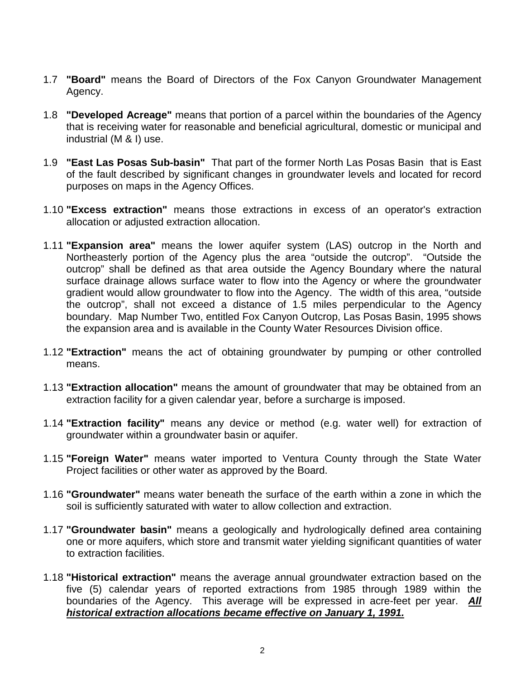- 1.7 **"Board"** means the Board of Directors of the Fox Canyon Groundwater Management Agency.
- 1.8 **"Developed Acreage"** means that portion of a parcel within the boundaries of the Agency that is receiving water for reasonable and beneficial agricultural, domestic or municipal and industrial (M & I) use.
- 1.9 **"East Las Posas Sub-basin"** That part of the former North Las Posas Basin that is East of the fault described by significant changes in groundwater levels and located for record purposes on maps in the Agency Offices.
- 1.10 **"Excess extraction"** means those extractions in excess of an operator's extraction allocation or adjusted extraction allocation.
- 1.11 **"Expansion area"** means the lower aquifer system (LAS) outcrop in the North and Northeasterly portion of the Agency plus the area "outside the outcrop". "Outside the outcrop" shall be defined as that area outside the Agency Boundary where the natural surface drainage allows surface water to flow into the Agency or where the groundwater gradient would allow groundwater to flow into the Agency. The width of this area, "outside the outcrop", shall not exceed a distance of 1.5 miles perpendicular to the Agency boundary. Map Number Two, entitled Fox Canyon Outcrop, Las Posas Basin, 1995 shows the expansion area and is available in the County Water Resources Division office.
- 1.12 **"Extraction"** means the act of obtaining groundwater by pumping or other controlled means.
- 1.13 **"Extraction allocation"** means the amount of groundwater that may be obtained from an extraction facility for a given calendar year, before a surcharge is imposed.
- 1.14 **"Extraction facility"** means any device or method (e.g. water well) for extraction of groundwater within a groundwater basin or aquifer.
- 1.15 **"Foreign Water"** means water imported to Ventura County through the State Water Project facilities or other water as approved by the Board.
- 1.16 **"Groundwater"** means water beneath the surface of the earth within a zone in which the soil is sufficiently saturated with water to allow collection and extraction.
- 1.17 **"Groundwater basin"** means a geologically and hydrologically defined area containing one or more aquifers, which store and transmit water yielding significant quantities of water to extraction facilities.
- 1.18 **"Historical extraction"** means the average annual groundwater extraction based on the five (5) calendar years of reported extractions from 1985 through 1989 within the boundaries of the Agency. This average will be expressed in acre-feet per year. *All historical extraction allocations became effective on January 1, 1991.*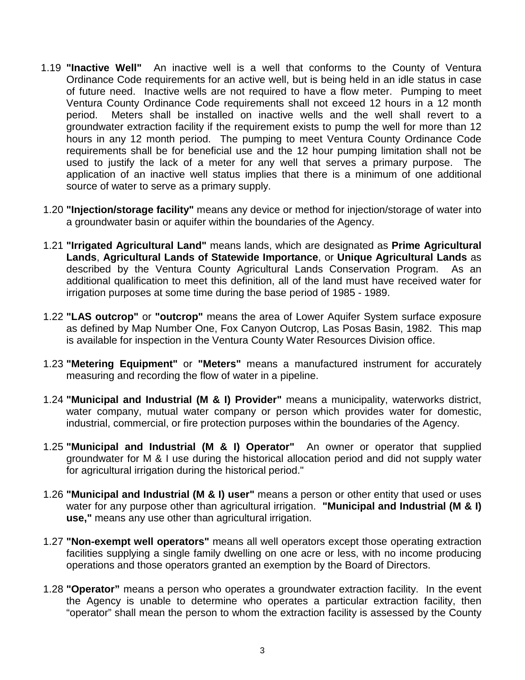- 1.19 **"Inactive Well"** An inactive well is a well that conforms to the County of Ventura Ordinance Code requirements for an active well, but is being held in an idle status in case of future need. Inactive wells are not required to have a flow meter. Pumping to meet Ventura County Ordinance Code requirements shall not exceed 12 hours in a 12 month period. Meters shall be installed on inactive wells and the well shall revert to a groundwater extraction facility if the requirement exists to pump the well for more than 12 hours in any 12 month period. The pumping to meet Ventura County Ordinance Code requirements shall be for beneficial use and the 12 hour pumping limitation shall not be used to justify the lack of a meter for any well that serves a primary purpose. The application of an inactive well status implies that there is a minimum of one additional source of water to serve as a primary supply.
- 1.20 **"Injection/storage facility"** means any device or method for injection/storage of water into a groundwater basin or aquifer within the boundaries of the Agency.
- 1.21 **"Irrigated Agricultural Land"** means lands, which are designated as **Prime Agricultural Lands**, **Agricultural Lands of Statewide Importance**, or **Unique Agricultural Lands** as described by the Ventura County Agricultural Lands Conservation Program. As an additional qualification to meet this definition, all of the land must have received water for irrigation purposes at some time during the base period of 1985 - 1989.
- 1.22 **"LAS outcrop"** or **"outcrop"** means the area of Lower Aquifer System surface exposure as defined by Map Number One, Fox Canyon Outcrop, Las Posas Basin, 1982. This map is available for inspection in the Ventura County Water Resources Division office.
- 1.23 **"Metering Equipment"** or **"Meters"** means a manufactured instrument for accurately measuring and recording the flow of water in a pipeline.
- 1.24 **"Municipal and Industrial (M & I) Provider"** means a municipality, waterworks district, water company, mutual water company or person which provides water for domestic, industrial, commercial, or fire protection purposes within the boundaries of the Agency.
- 1.25 **"Municipal and Industrial (M & I) Operator"** An owner or operator that supplied groundwater for M & I use during the historical allocation period and did not supply water for agricultural irrigation during the historical period."
- 1.26 **"Municipal and Industrial (M & I) user"** means a person or other entity that used or uses water for any purpose other than agricultural irrigation. "Municipal and Industrial (M & I) **use,"** means any use other than agricultural irrigation.
- 1.27 **"Non-exempt well operators"** means all well operators except those operating extraction facilities supplying a single family dwelling on one acre or less, with no income producing operations and those operators granted an exemption by the Board of Directors.
- 1.28 **"Operator"** means a person who operates a groundwater extraction facility. In the event the Agency is unable to determine who operates a particular extraction facility, then "operator" shall mean the person to whom the extraction facility is assessed by the County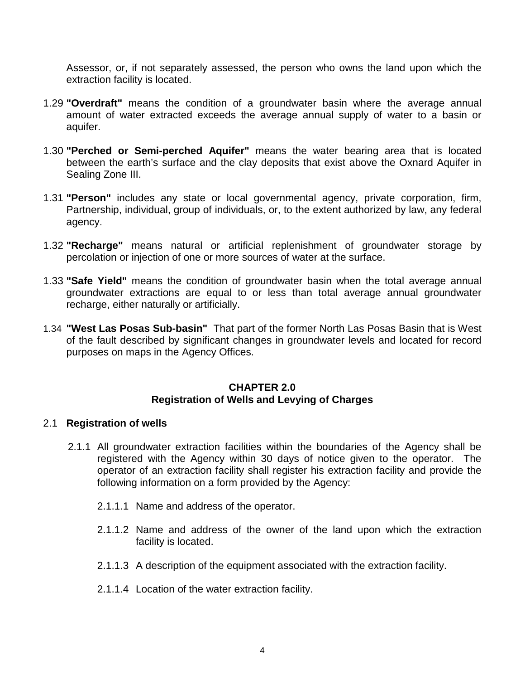Assessor, or, if not separately assessed, the person who owns the land upon which the extraction facility is located.

- 1.29 **"Overdraft"** means the condition of a groundwater basin where the average annual amount of water extracted exceeds the average annual supply of water to a basin or aquifer.
- 1.30 **"Perched or Semi-perched Aquifer"** means the water bearing area that is located between the earth's surface and the clay deposits that exist above the Oxnard Aquifer in Sealing Zone III.
- 1.31 **"Person"** includes any state or local governmental agency, private corporation, firm, Partnership, individual, group of individuals, or, to the extent authorized by law, any federal agency.
- 1.32 **"Recharge"** means natural or artificial replenishment of groundwater storage by percolation or injection of one or more sources of water at the surface.
- 1.33 **"Safe Yield"** means the condition of groundwater basin when the total average annual groundwater extractions are equal to or less than total average annual groundwater recharge, either naturally or artificially.
- 1.34 **"West Las Posas Sub-basin"** That part of the former North Las Posas Basin that is West of the fault described by significant changes in groundwater levels and located for record purposes on maps in the Agency Offices.

#### **CHAPTER 2.0 Registration of Wells and Levying of Charges**

#### 2.1 **Registration of wells**

- 2.1.1 All groundwater extraction facilities within the boundaries of the Agency shall be registered with the Agency within 30 days of notice given to the operator. The operator of an extraction facility shall register his extraction facility and provide the following information on a form provided by the Agency:
	- 2.1.1.1 Name and address of the operator.
	- 2.1.1.2 Name and address of the owner of the land upon which the extraction facility is located.
	- 2.1.1.3 A description of the equipment associated with the extraction facility.
	- 2.1.1.4 Location of the water extraction facility.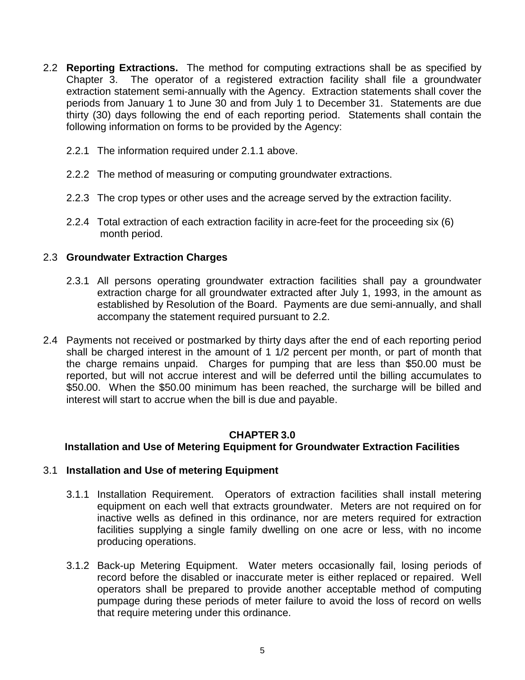- 2.2 **Reporting Extractions.** The method for computing extractions shall be as specified by Chapter 3. The operator of a registered extraction facility shall file a groundwater extraction statement semi-annually with the Agency. Extraction statements shall cover the periods from January 1 to June 30 and from July 1 to December 31. Statements are due thirty (30) days following the end of each reporting period. Statements shall contain the following information on forms to be provided by the Agency:
	- 2.2.1 The information required under 2.1.1 above.
	- 2.2.2 The method of measuring or computing groundwater extractions.
	- 2.2.3 The crop types or other uses and the acreage served by the extraction facility.
	- 2.2.4 Total extraction of each extraction facility in acre-feet for the proceeding six (6) month period.

## 2.3 **Groundwater Extraction Charges**

- 2.3.1 All persons operating groundwater extraction facilities shall pay a groundwater extraction charge for all groundwater extracted after July 1, 1993, in the amount as established by Resolution of the Board. Payments are due semi-annually, and shall accompany the statement required pursuant to 2.2.
- 2.4 Payments not received or postmarked by thirty days after the end of each reporting period shall be charged interest in the amount of 1 1/2 percent per month, or part of month that the charge remains unpaid. Charges for pumping that are less than \$50.00 must be reported, but will not accrue interest and will be deferred until the billing accumulates to \$50.00. When the \$50.00 minimum has been reached, the surcharge will be billed and interest will start to accrue when the bill is due and payable.

## **CHAPTER 3.0**

## **Installation and Use of Metering Equipment for Groundwater Extraction Facilities**

### 3.1 **Installation and Use of metering Equipment**

- 3.1.1 Installation Requirement. Operators of extraction facilities shall install metering equipment on each well that extracts groundwater. Meters are not required on for inactive wells as defined in this ordinance, nor are meters required for extraction facilities supplying a single family dwelling on one acre or less, with no income producing operations.
- 3.1.2 Back-up Metering Equipment. Water meters occasionally fail, losing periods of record before the disabled or inaccurate meter is either replaced or repaired. Well operators shall be prepared to provide another acceptable method of computing pumpage during these periods of meter failure to avoid the loss of record on wells that require metering under this ordinance.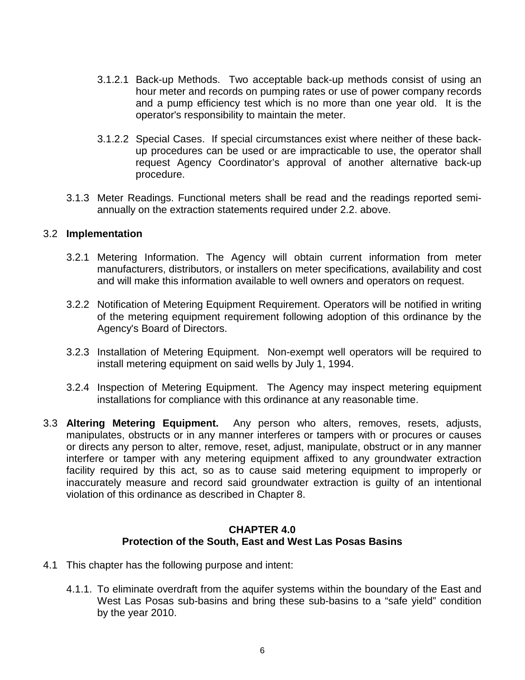- 3.1.2.1 Back-up Methods. Two acceptable back-up methods consist of using an hour meter and records on pumping rates or use of power company records and a pump efficiency test which is no more than one year old. It is the operator's responsibility to maintain the meter.
- 3.1.2.2 Special Cases. If special circumstances exist where neither of these backup procedures can be used or are impracticable to use, the operator shall request Agency Coordinator's approval of another alternative back-up procedure.
- 3.1.3 Meter Readings. Functional meters shall be read and the readings reported semiannually on the extraction statements required under 2.2. above.

### 3.2 **Implementation**

- 3.2.1 Metering Information. The Agency will obtain current information from meter manufacturers, distributors, or installers on meter specifications, availability and cost and will make this information available to well owners and operators on request.
- 3.2.2 Notification of Metering Equipment Requirement. Operators will be notified in writing of the metering equipment requirement following adoption of this ordinance by the Agency's Board of Directors.
- 3.2.3 Installation of Metering Equipment. Non-exempt well operators will be required to install metering equipment on said wells by July 1, 1994.
- 3.2.4 Inspection of Metering Equipment. The Agency may inspect metering equipment installations for compliance with this ordinance at any reasonable time.
- 3.3 **Altering Metering Equipment.** Any person who alters, removes, resets, adjusts, manipulates, obstructs or in any manner interferes or tampers with or procures or causes or directs any person to alter, remove, reset, adjust, manipulate, obstruct or in any manner interfere or tamper with any metering equipment affixed to any groundwater extraction facility required by this act, so as to cause said metering equipment to improperly or inaccurately measure and record said groundwater extraction is guilty of an intentional violation of this ordinance as described in Chapter 8.

### **CHAPTER 4.0 Protection of the South, East and West Las Posas Basins**

- 4.1 This chapter has the following purpose and intent:
	- 4.1.1. To eliminate overdraft from the aquifer systems within the boundary of the East and West Las Posas sub-basins and bring these sub-basins to a "safe yield" condition by the year 2010.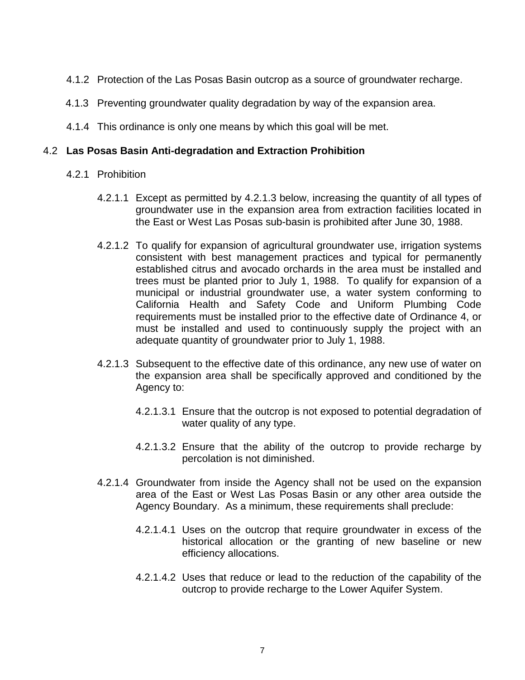- 4.1.2 Protection of the Las Posas Basin outcrop as a source of groundwater recharge.
- 4.1.3 Preventing groundwater quality degradation by way of the expansion area.
- 4.1.4 This ordinance is only one means by which this goal will be met.

### 4.2 **Las Posas Basin Anti-degradation and Extraction Prohibition**

- 4.2.1 Prohibition
	- 4.2.1.1 Except as permitted by 4.2.1.3 below, increasing the quantity of all types of groundwater use in the expansion area from extraction facilities located in the East or West Las Posas sub-basin is prohibited after June 30, 1988.
	- 4.2.1.2 To qualify for expansion of agricultural groundwater use, irrigation systems consistent with best management practices and typical for permanently established citrus and avocado orchards in the area must be installed and trees must be planted prior to July 1, 1988. To qualify for expansion of a municipal or industrial groundwater use, a water system conforming to California Health and Safety Code and Uniform Plumbing Code requirements must be installed prior to the effective date of Ordinance 4, or must be installed and used to continuously supply the project with an adequate quantity of groundwater prior to July 1, 1988.
	- 4.2.1.3 Subsequent to the effective date of this ordinance, any new use of water on the expansion area shall be specifically approved and conditioned by the Agency to:
		- 4.2.1.3.1 Ensure that the outcrop is not exposed to potential degradation of water quality of any type.
		- 4.2.1.3.2 Ensure that the ability of the outcrop to provide recharge by percolation is not diminished.
	- 4.2.1.4 Groundwater from inside the Agency shall not be used on the expansion area of the East or West Las Posas Basin or any other area outside the Agency Boundary. As a minimum, these requirements shall preclude:
		- 4.2.1.4.1 Uses on the outcrop that require groundwater in excess of the historical allocation or the granting of new baseline or new efficiency allocations.
		- 4.2.1.4.2 Uses that reduce or lead to the reduction of the capability of the outcrop to provide recharge to the Lower Aquifer System.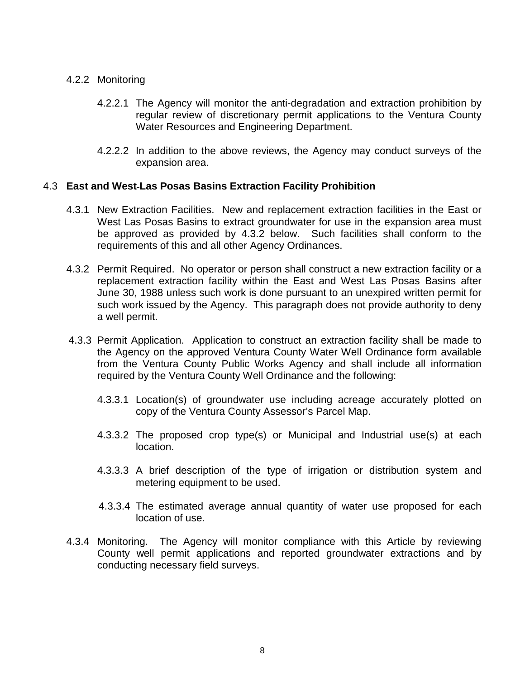#### 4.2.2 Monitoring

- 4.2.2.1 The Agency will monitor the anti-degradation and extraction prohibition by regular review of discretionary permit applications to the Ventura County Water Resources and Engineering Department.
- 4.2.2.2 In addition to the above reviews, the Agency may conduct surveys of the expansion area.

### 4.3 **East and West Las Posas Basins Extraction Facility Prohibition**

- 4.3.1 New Extraction Facilities. New and replacement extraction facilities in the East or West Las Posas Basins to extract groundwater for use in the expansion area must be approved as provided by 4.3.2 below. Such facilities shall conform to the requirements of this and all other Agency Ordinances.
- 4.3.2 Permit Required. No operator or person shall construct a new extraction facility or a replacement extraction facility within the East and West Las Posas Basins after June 30, 1988 unless such work is done pursuant to an unexpired written permit for such work issued by the Agency. This paragraph does not provide authority to deny a well permit.
- 4.3.3 Permit Application. Application to construct an extraction facility shall be made to the Agency on the approved Ventura County Water Well Ordinance form available from the Ventura County Public Works Agency and shall include all information required by the Ventura County Well Ordinance and the following:
	- 4.3.3.1 Location(s) of groundwater use including acreage accurately plotted on copy of the Ventura County Assessor's Parcel Map.
	- 4.3.3.2 The proposed crop type(s) or Municipal and Industrial use(s) at each location.
	- 4.3.3.3 A brief description of the type of irrigation or distribution system and metering equipment to be used.
	- 4.3.3.4 The estimated average annual quantity of water use proposed for each location of use.
- 4.3.4 Monitoring. The Agency will monitor compliance with this Article by reviewing County well permit applications and reported groundwater extractions and by conducting necessary field surveys.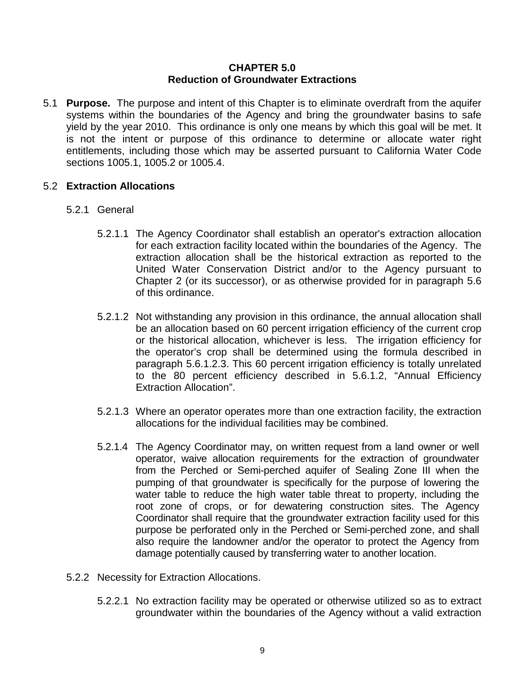### **CHAPTER 5.0 Reduction of Groundwater Extractions**

5.1 **Purpose.** The purpose and intent of this Chapter is to eliminate overdraft from the aquifer systems within the boundaries of the Agency and bring the groundwater basins to safe yield by the year 2010. This ordinance is only one means by which this goal will be met. It is not the intent or purpose of this ordinance to determine or allocate water right entitlements, including those which may be asserted pursuant to California Water Code sections 1005.1, 1005.2 or 1005.4.

### 5.2 **Extraction Allocations**

- 5.2.1 General
	- 5.2.1.1 The Agency Coordinator shall establish an operator's extraction allocation for each extraction facility located within the boundaries of the Agency. The extraction allocation shall be the historical extraction as reported to the United Water Conservation District and/or to the Agency pursuant to Chapter 2 (or its successor), or as otherwise provided for in paragraph 5.6 of this ordinance.
	- 5.2.1.2 Not withstanding any provision in this ordinance, the annual allocation shall be an allocation based on 60 percent irrigation efficiency of the current crop or the historical allocation, whichever is less. The irrigation efficiency for the operator's crop shall be determined using the formula described in paragraph 5.6.1.2.3. This 60 percent irrigation efficiency is totally unrelated to the 80 percent efficiency described in 5.6.1.2, "Annual Efficiency Extraction Allocation".
	- 5.2.1.3 Where an operator operates more than one extraction facility, the extraction allocations for the individual facilities may be combined.
	- 5.2.1.4 The Agency Coordinator may, on written request from a land owner or well operator, waive allocation requirements for the extraction of groundwater from the Perched or Semi-perched aquifer of Sealing Zone III when the pumping of that groundwater is specifically for the purpose of lowering the water table to reduce the high water table threat to property, including the root zone of crops, or for dewatering construction sites. The Agency Coordinator shall require that the groundwater extraction facility used for this purpose be perforated only in the Perched or Semi-perched zone, and shall also require the landowner and/or the operator to protect the Agency from damage potentially caused by transferring water to another location.
- 5.2.2 Necessity for Extraction Allocations.
	- 5.2.2.1 No extraction facility may be operated or otherwise utilized so as to extract groundwater within the boundaries of the Agency without a valid extraction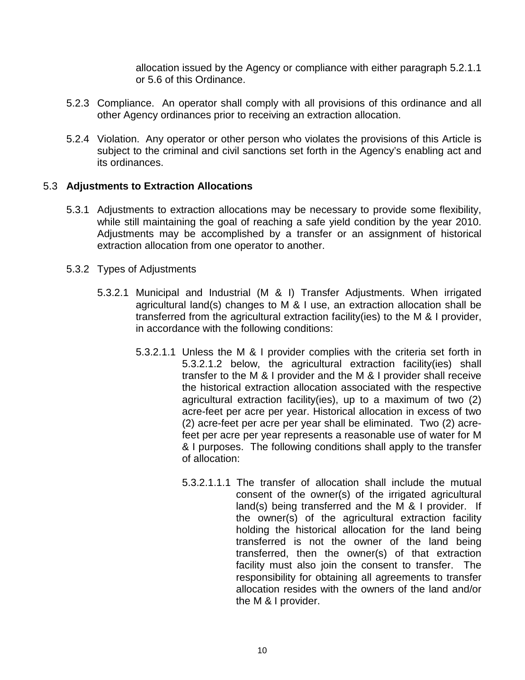allocation issued by the Agency or compliance with either paragraph 5.2.1.1 or 5.6 of this Ordinance.

- 5.2.3 Compliance. An operator shall comply with all provisions of this ordinance and all other Agency ordinances prior to receiving an extraction allocation.
- 5.2.4 Violation. Any operator or other person who violates the provisions of this Article is subject to the criminal and civil sanctions set forth in the Agency's enabling act and its ordinances.

## 5.3 **Adjustments to Extraction Allocations**

- 5.3.1 Adjustments to extraction allocations may be necessary to provide some flexibility, while still maintaining the goal of reaching a safe yield condition by the year 2010. Adjustments may be accomplished by a transfer or an assignment of historical extraction allocation from one operator to another.
- 5.3.2 Types of Adjustments
	- 5.3.2.1 Municipal and Industrial (M & I) Transfer Adjustments. When irrigated agricultural land(s) changes to M & I use, an extraction allocation shall be transferred from the agricultural extraction facility(ies) to the M & I provider, in accordance with the following conditions:
		- 5.3.2.1.1 Unless the M & I provider complies with the criteria set forth in 5.3.2.1.2 below, the agricultural extraction facility(ies) shall transfer to the M & I provider and the M & I provider shall receive the historical extraction allocation associated with the respective agricultural extraction facility(ies), up to a maximum of two (2) acre-feet per acre per year. Historical allocation in excess of two (2) acre-feet per acre per year shall be eliminated. Two (2) acrefeet per acre per year represents a reasonable use of water for M & I purposes. The following conditions shall apply to the transfer of allocation:
			- 5.3.2.1.1.1 The transfer of allocation shall include the mutual consent of the owner(s) of the irrigated agricultural land(s) being transferred and the M & I provider. If the owner(s) of the agricultural extraction facility holding the historical allocation for the land being transferred is not the owner of the land being transferred, then the owner(s) of that extraction facility must also join the consent to transfer. The responsibility for obtaining all agreements to transfer allocation resides with the owners of the land and/or the M & I provider.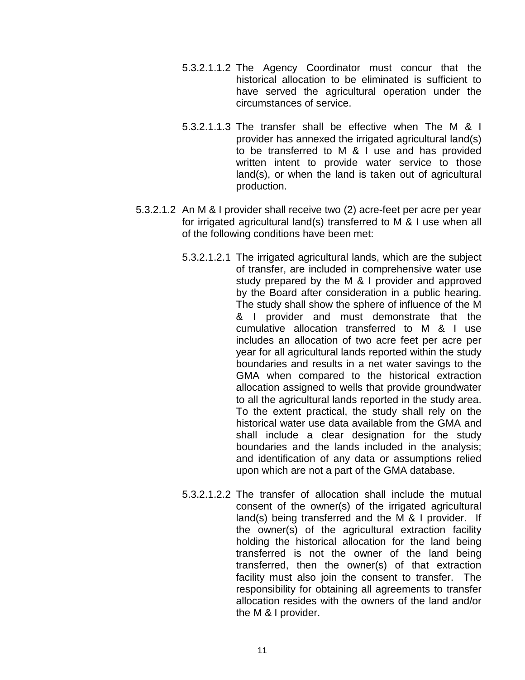- 5.3.2.1.1.2 The Agency Coordinator must concur that the historical allocation to be eliminated is sufficient to have served the agricultural operation under the circumstances of service.
- 5.3.2.1.1.3 The transfer shall be effective when The M & I provider has annexed the irrigated agricultural land(s) to be transferred to M & I use and has provided written intent to provide water service to those land(s), or when the land is taken out of agricultural production.
- 5.3.2.1.2 An M & I provider shall receive two (2) acre-feet per acre per year for irrigated agricultural land(s) transferred to M & I use when all of the following conditions have been met:
	- 5.3.2.1.2.1 The irrigated agricultural lands, which are the subject of transfer, are included in comprehensive water use study prepared by the M & I provider and approved by the Board after consideration in a public hearing. The study shall show the sphere of influence of the M & I provider and must demonstrate that the cumulative allocation transferred to M & I use includes an allocation of two acre feet per acre per year for all agricultural lands reported within the study boundaries and results in a net water savings to the GMA when compared to the historical extraction allocation assigned to wells that provide groundwater to all the agricultural lands reported in the study area. To the extent practical, the study shall rely on the historical water use data available from the GMA and shall include a clear designation for the study boundaries and the lands included in the analysis; and identification of any data or assumptions relied upon which are not a part of the GMA database.
	- 5.3.2.1.2.2 The transfer of allocation shall include the mutual consent of the owner(s) of the irrigated agricultural land(s) being transferred and the M & I provider. If the owner(s) of the agricultural extraction facility holding the historical allocation for the land being transferred is not the owner of the land being transferred, then the owner(s) of that extraction facility must also join the consent to transfer. The responsibility for obtaining all agreements to transfer allocation resides with the owners of the land and/or the M & I provider.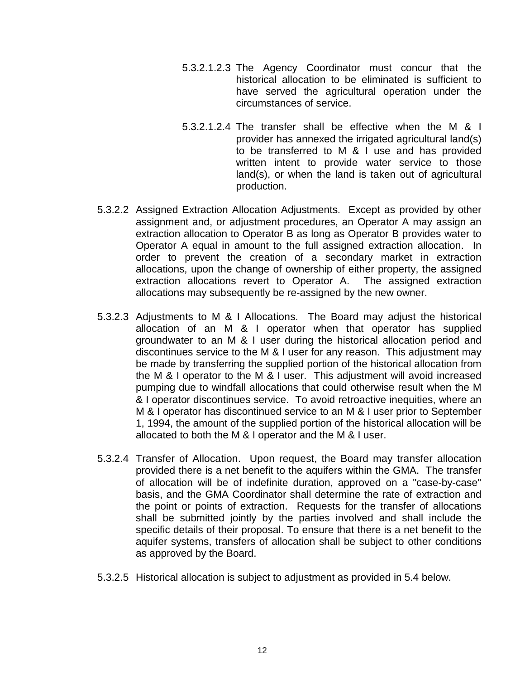- 5.3.2.1.2.3 The Agency Coordinator must concur that the historical allocation to be eliminated is sufficient to have served the agricultural operation under the circumstances of service.
- 5.3.2.1.2.4 The transfer shall be effective when the M & I provider has annexed the irrigated agricultural land(s) to be transferred to M & I use and has provided written intent to provide water service to those land(s), or when the land is taken out of agricultural production.
- 5.3.2.2 Assigned Extraction Allocation Adjustments. Except as provided by other assignment and, or adjustment procedures, an Operator A may assign an extraction allocation to Operator B as long as Operator B provides water to Operator A equal in amount to the full assigned extraction allocation. In order to prevent the creation of a secondary market in extraction allocations, upon the change of ownership of either property, the assigned extraction allocations revert to Operator A. The assigned extraction allocations may subsequently be re-assigned by the new owner.
- 5.3.2.3 Adjustments to M & I Allocations. The Board may adjust the historical allocation of an M & I operator when that operator has supplied groundwater to an M & I user during the historical allocation period and discontinues service to the M & I user for any reason. This adjustment may be made by transferring the supplied portion of the historical allocation from the M & I operator to the M & I user. This adjustment will avoid increased pumping due to windfall allocations that could otherwise result when the M & I operator discontinues service. To avoid retroactive inequities, where an M & I operator has discontinued service to an M & I user prior to September 1, 1994, the amount of the supplied portion of the historical allocation will be allocated to both the M & I operator and the M & I user.
- 5.3.2.4 Transfer of Allocation. Upon request, the Board may transfer allocation provided there is a net benefit to the aquifers within the GMA. The transfer of allocation will be of indefinite duration, approved on a "case-by-case" basis, and the GMA Coordinator shall determine the rate of extraction and the point or points of extraction. Requests for the transfer of allocations shall be submitted jointly by the parties involved and shall include the specific details of their proposal. To ensure that there is a net benefit to the aquifer systems, transfers of allocation shall be subject to other conditions as approved by the Board.
- 5.3.2.5 Historical allocation is subject to adjustment as provided in 5.4 below.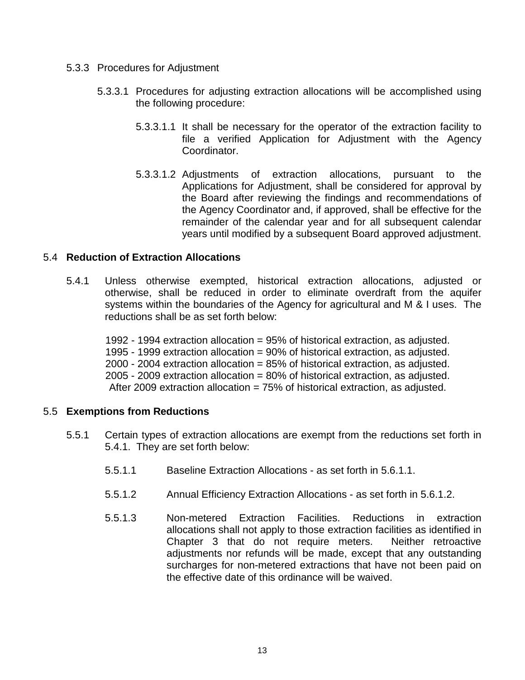- 5.3.3 Procedures for Adjustment
	- 5.3.3.1 Procedures for adjusting extraction allocations will be accomplished using the following procedure:
		- 5.3.3.1.1 It shall be necessary for the operator of the extraction facility to file a verified Application for Adjustment with the Agency Coordinator.
		- 5.3.3.1.2 Adjustments of extraction allocations, pursuant to the Applications for Adjustment, shall be considered for approval by the Board after reviewing the findings and recommendations of the Agency Coordinator and, if approved, shall be effective for the remainder of the calendar year and for all subsequent calendar years until modified by a subsequent Board approved adjustment.

### 5.4 **Reduction of Extraction Allocations**

5.4.1 Unless otherwise exempted, historical extraction allocations, adjusted or otherwise, shall be reduced in order to eliminate overdraft from the aquifer systems within the boundaries of the Agency for agricultural and M & I uses. The reductions shall be as set forth below:

1992 - 1994 extraction allocation = 95% of historical extraction, as adjusted. 1995 - 1999 extraction allocation = 90% of historical extraction, as adjusted. 2000 - 2004 extraction allocation = 85% of historical extraction, as adjusted. 2005 - 2009 extraction allocation = 80% of historical extraction, as adjusted. After 2009 extraction allocation = 75% of historical extraction, as adjusted.

#### 5.5 **Exemptions from Reductions**

- 5.5.1 Certain types of extraction allocations are exempt from the reductions set forth in 5.4.1. They are set forth below:
	- 5.5.1.1 Baseline Extraction Allocations as set forth in 5.6.1.1.
	- 5.5.1.2 Annual Efficiency Extraction Allocations as set forth in 5.6.1.2.
	- 5.5.1.3 Non-metered Extraction Facilities. Reductions in extraction allocations shall not apply to those extraction facilities as identified in Chapter 3 that do not require meters. Neither retroactive adjustments nor refunds will be made, except that any outstanding surcharges for non-metered extractions that have not been paid on the effective date of this ordinance will be waived.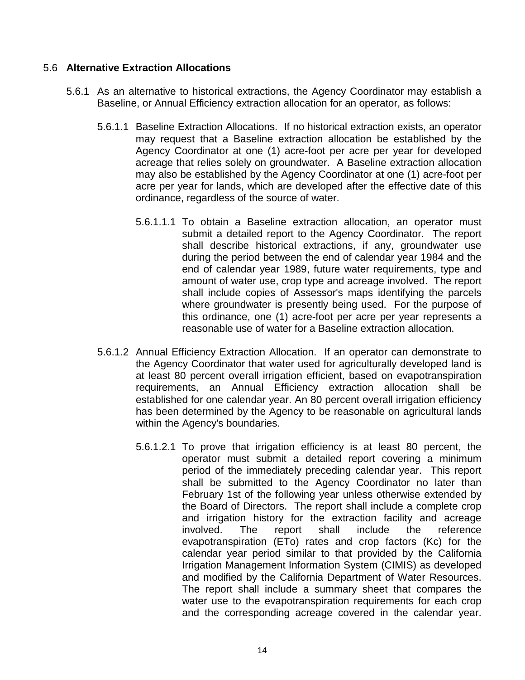### 5.6 **Alternative Extraction Allocations**

- 5.6.1 As an alternative to historical extractions, the Agency Coordinator may establish a Baseline, or Annual Efficiency extraction allocation for an operator, as follows:
	- 5.6.1.1 Baseline Extraction Allocations. If no historical extraction exists, an operator may request that a Baseline extraction allocation be established by the Agency Coordinator at one (1) acre-foot per acre per year for developed acreage that relies solely on groundwater. A Baseline extraction allocation may also be established by the Agency Coordinator at one (1) acre-foot per acre per year for lands, which are developed after the effective date of this ordinance, regardless of the source of water.
		- 5.6.1.1.1 To obtain a Baseline extraction allocation, an operator must submit a detailed report to the Agency Coordinator. The report shall describe historical extractions, if any, groundwater use during the period between the end of calendar year 1984 and the end of calendar year 1989, future water requirements, type and amount of water use, crop type and acreage involved. The report shall include copies of Assessor's maps identifying the parcels where groundwater is presently being used. For the purpose of this ordinance, one (1) acre-foot per acre per year represents a reasonable use of water for a Baseline extraction allocation.
	- 5.6.1.2 Annual Efficiency Extraction Allocation. If an operator can demonstrate to the Agency Coordinator that water used for agriculturally developed land is at least 80 percent overall irrigation efficient, based on evapotranspiration requirements, an Annual Efficiency extraction allocation shall be established for one calendar year. An 80 percent overall irrigation efficiency has been determined by the Agency to be reasonable on agricultural lands within the Agency's boundaries.
		- 5.6.1.2.1 To prove that irrigation efficiency is at least 80 percent, the operator must submit a detailed report covering a minimum period of the immediately preceding calendar year. This report shall be submitted to the Agency Coordinator no later than February 1st of the following year unless otherwise extended by the Board of Directors. The report shall include a complete crop and irrigation history for the extraction facility and acreage involved. The report shall include the reference evapotranspiration (ETo) rates and crop factors (Kc) for the calendar year period similar to that provided by the California Irrigation Management Information System (CIMIS) as developed and modified by the California Department of Water Resources. The report shall include a summary sheet that compares the water use to the evapotranspiration requirements for each crop and the corresponding acreage covered in the calendar year.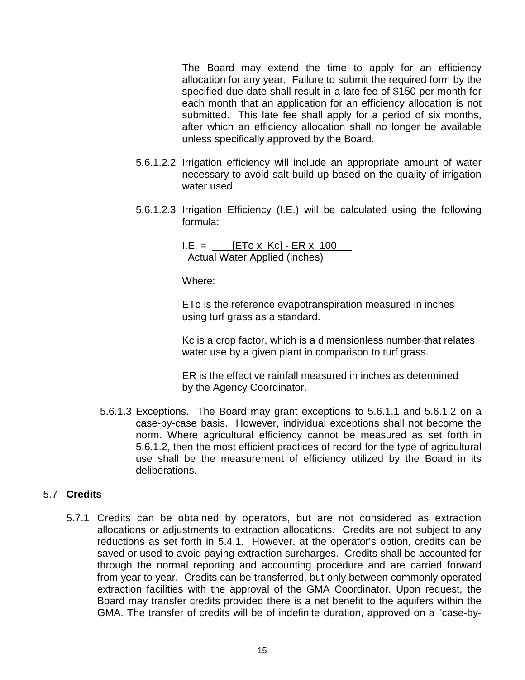The Board may extend the time to apply for an efficiency allocation for any year. Failure to submit the required form by the specified due date shall result in a late fee of \$150 per month for each month that an application for an efficiency allocation is not submitted. This late fee shall apply for a period of six months, after which an efficiency allocation shall no longer be available unless specifically approved by the Board.

- 5.6.1.2.2 Irrigation efficiency will include an appropriate amount of water necessary to avoid salt build-up based on the quality of irrigation water used.
- 5.6.1.2.3 Irrigation Efficiency (I.E.) will be calculated using the following formula:

 $I.E. =$  [ETo x Kc] - ER x 100 Actual Water Applied (inches)

Where:

ETo is the reference evapotranspiration measured in inches using turf grass as a standard.

Kc is a crop factor, which is a dimensionless number that relates water use by a given plant in comparison to turf grass.

ER is the effective rainfall measured in inches as determined by the Agency Coordinator.

5.6.1.3 Exceptions. The Board may grant exceptions to 5.6.1.1 and 5.6.1.2 on a case-by-case basis. However, individual exceptions shall not become the norm. Where agricultural efficiency cannot be measured as set forth in 5.6.1.2, then the most efficient practices of record for the type of agricultural use shall be the measurement of efficiency utilized by the Board in its deliberations.

## 5.7 **Credits**

5.7.1 Credits can be obtained by operators, but are not considered as extraction allocations or adjustments to extraction allocations. Credits are not subject to any reductions as set forth in 5.4.1. However, at the operator's option, credits can be saved or used to avoid paying extraction surcharges. Credits shall be accounted for through the normal reporting and accounting procedure and are carried forward from year to year. Credits can be transferred, but only between commonly operated extraction facilities with the approval of the GMA Coordinator. Upon request, the Board may transfer credits provided there is a net benefit to the aquifers within the GMA. The transfer of credits will be of indefinite duration, approved on a "case-by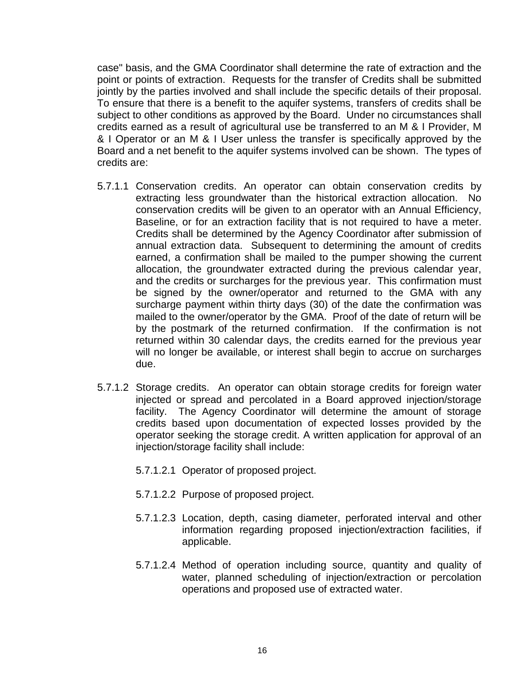case" basis, and the GMA Coordinator shall determine the rate of extraction and the point or points of extraction. Requests for the transfer of Credits shall be submitted jointly by the parties involved and shall include the specific details of their proposal. To ensure that there is a benefit to the aquifer systems, transfers of credits shall be subject to other conditions as approved by the Board. Under no circumstances shall credits earned as a result of agricultural use be transferred to an M & I Provider, M & I Operator or an M & I User unless the transfer is specifically approved by the Board and a net benefit to the aquifer systems involved can be shown. The types of credits are:

- 5.7.1.1 Conservation credits. An operator can obtain conservation credits by extracting less groundwater than the historical extraction allocation. No conservation credits will be given to an operator with an Annual Efficiency, Baseline, or for an extraction facility that is not required to have a meter. Credits shall be determined by the Agency Coordinator after submission of annual extraction data. Subsequent to determining the amount of credits earned, a confirmation shall be mailed to the pumper showing the current allocation, the groundwater extracted during the previous calendar year, and the credits or surcharges for the previous year. This confirmation must be signed by the owner/operator and returned to the GMA with any surcharge payment within thirty days (30) of the date the confirmation was mailed to the owner/operator by the GMA. Proof of the date of return will be by the postmark of the returned confirmation. If the confirmation is not returned within 30 calendar days, the credits earned for the previous year will no longer be available, or interest shall begin to accrue on surcharges due.
- 5.7.1.2 Storage credits. An operator can obtain storage credits for foreign water injected or spread and percolated in a Board approved injection/storage facility. The Agency Coordinator will determine the amount of storage credits based upon documentation of expected losses provided by the operator seeking the storage credit. A written application for approval of an injection/storage facility shall include:
	- 5.7.1.2.1 Operator of proposed project.
	- 5.7.1.2.2 Purpose of proposed project.
	- 5.7.1.2.3 Location, depth, casing diameter, perforated interval and other information regarding proposed injection/extraction facilities, if applicable.
	- 5.7.1.2.4 Method of operation including source, quantity and quality of water, planned scheduling of injection/extraction or percolation operations and proposed use of extracted water.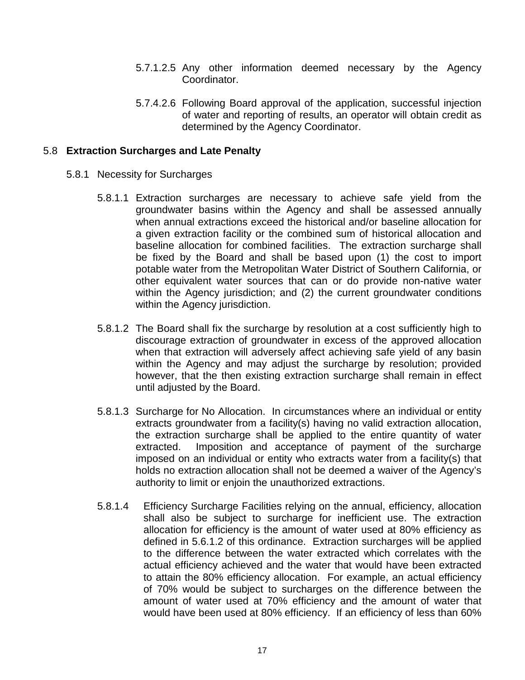- 5.7.1.2.5 Any other information deemed necessary by the Agency Coordinator.
- 5.7.4.2.6 Following Board approval of the application, successful injection of water and reporting of results, an operator will obtain credit as determined by the Agency Coordinator.

### 5.8 **Extraction Surcharges and Late Penalty**

- 5.8.1 Necessity for Surcharges
	- 5.8.1.1 Extraction surcharges are necessary to achieve safe yield from the groundwater basins within the Agency and shall be assessed annually when annual extractions exceed the historical and/or baseline allocation for a given extraction facility or the combined sum of historical allocation and baseline allocation for combined facilities. The extraction surcharge shall be fixed by the Board and shall be based upon (1) the cost to import potable water from the Metropolitan Water District of Southern California, or other equivalent water sources that can or do provide non-native water within the Agency jurisdiction; and (2) the current groundwater conditions within the Agency jurisdiction.
	- 5.8.1.2 The Board shall fix the surcharge by resolution at a cost sufficiently high to discourage extraction of groundwater in excess of the approved allocation when that extraction will adversely affect achieving safe yield of any basin within the Agency and may adjust the surcharge by resolution; provided however, that the then existing extraction surcharge shall remain in effect until adjusted by the Board.
	- 5.8.1.3 Surcharge for No Allocation. In circumstances where an individual or entity extracts groundwater from a facility(s) having no valid extraction allocation, the extraction surcharge shall be applied to the entire quantity of water extracted. Imposition and acceptance of payment of the surcharge imposed on an individual or entity who extracts water from a facility(s) that holds no extraction allocation shall not be deemed a waiver of the Agency's authority to limit or enjoin the unauthorized extractions.
	- 5.8.1.4 Efficiency Surcharge Facilities relying on the annual, efficiency, allocation shall also be subject to surcharge for inefficient use. The extraction allocation for efficiency is the amount of water used at 80% efficiency as defined in 5.6.1.2 of this ordinance. Extraction surcharges will be applied to the difference between the water extracted which correlates with the actual efficiency achieved and the water that would have been extracted to attain the 80% efficiency allocation. For example, an actual efficiency of 70% would be subject to surcharges on the difference between the amount of water used at 70% efficiency and the amount of water that would have been used at 80% efficiency. If an efficiency of less than 60%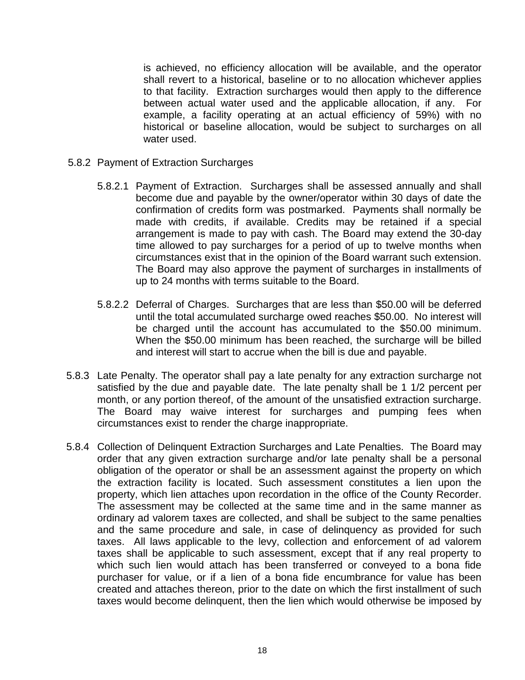is achieved, no efficiency allocation will be available, and the operator shall revert to a historical, baseline or to no allocation whichever applies to that facility. Extraction surcharges would then apply to the difference between actual water used and the applicable allocation, if any. For example, a facility operating at an actual efficiency of 59%) with no historical or baseline allocation, would be subject to surcharges on all water used.

- 5.8.2 Payment of Extraction Surcharges
	- 5.8.2.1 Payment of Extraction. Surcharges shall be assessed annually and shall become due and payable by the owner/operator within 30 days of date the confirmation of credits form was postmarked. Payments shall normally be made with credits, if available. Credits may be retained if a special arrangement is made to pay with cash. The Board may extend the 30-day time allowed to pay surcharges for a period of up to twelve months when circumstances exist that in the opinion of the Board warrant such extension. The Board may also approve the payment of surcharges in installments of up to 24 months with terms suitable to the Board.
	- 5.8.2.2 Deferral of Charges. Surcharges that are less than \$50.00 will be deferred until the total accumulated surcharge owed reaches \$50.00. No interest will be charged until the account has accumulated to the \$50.00 minimum. When the \$50.00 minimum has been reached, the surcharge will be billed and interest will start to accrue when the bill is due and payable.
- 5.8.3 Late Penalty. The operator shall pay a late penalty for any extraction surcharge not satisfied by the due and payable date. The late penalty shall be 1 1/2 percent per month, or any portion thereof, of the amount of the unsatisfied extraction surcharge. The Board may waive interest for surcharges and pumping fees when circumstances exist to render the charge inappropriate.
- 5.8.4 Collection of Delinquent Extraction Surcharges and Late Penalties. The Board may order that any given extraction surcharge and/or late penalty shall be a personal obligation of the operator or shall be an assessment against the property on which the extraction facility is located. Such assessment constitutes a lien upon the property, which lien attaches upon recordation in the office of the County Recorder. The assessment may be collected at the same time and in the same manner as ordinary ad valorem taxes are collected, and shall be subject to the same penalties and the same procedure and sale, in case of delinquency as provided for such taxes. All laws applicable to the levy, collection and enforcement of ad valorem taxes shall be applicable to such assessment, except that if any real property to which such lien would attach has been transferred or conveyed to a bona fide purchaser for value, or if a lien of a bona fide encumbrance for value has been created and attaches thereon, prior to the date on which the first installment of such taxes would become delinquent, then the lien which would otherwise be imposed by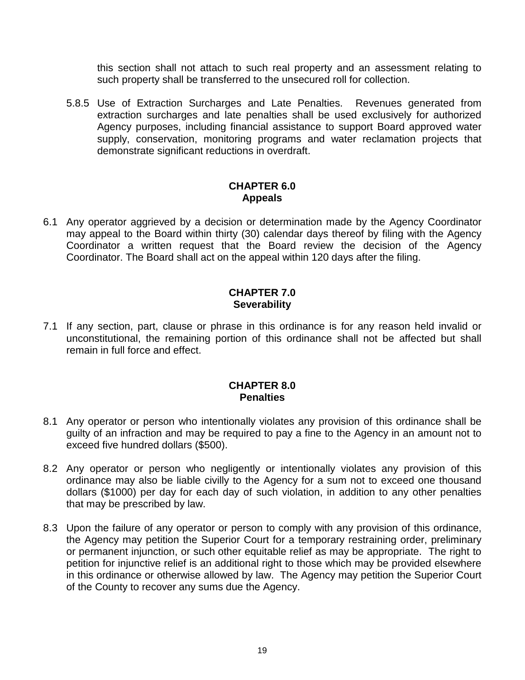this section shall not attach to such real property and an assessment relating to such property shall be transferred to the unsecured roll for collection.

5.8.5 Use of Extraction Surcharges and Late Penalties.Revenues generated from extraction surcharges and late penalties shall be used exclusively for authorized Agency purposes, including financial assistance to support Board approved water supply, conservation, monitoring programs and water reclamation projects that demonstrate significant reductions in overdraft.

### **CHAPTER 6.0 Appeals**

6.1 Any operator aggrieved by a decision or determination made by the Agency Coordinator may appeal to the Board within thirty (30) calendar days thereof by filing with the Agency Coordinator a written request that the Board review the decision of the Agency Coordinator. The Board shall act on the appeal within 120 days after the filing.

### **CHAPTER 7.0 Severability**

7.1 If any section, part, clause or phrase in this ordinance is for any reason held invalid or unconstitutional, the remaining portion of this ordinance shall not be affected but shall remain in full force and effect.

### **CHAPTER 8.0 Penalties**

- 8.1 Any operator or person who intentionally violates any provision of this ordinance shall be guilty of an infraction and may be required to pay a fine to the Agency in an amount not to exceed five hundred dollars (\$500).
- 8.2 Any operator or person who negligently or intentionally violates any provision of this ordinance may also be liable civilly to the Agency for a sum not to exceed one thousand dollars (\$1000) per day for each day of such violation, in addition to any other penalties that may be prescribed by law.
- 8.3 Upon the failure of any operator or person to comply with any provision of this ordinance, the Agency may petition the Superior Court for a temporary restraining order, preliminary or permanent injunction, or such other equitable relief as may be appropriate. The right to petition for injunctive relief is an additional right to those which may be provided elsewhere in this ordinance or otherwise allowed by law. The Agency may petition the Superior Court of the County to recover any sums due the Agency.